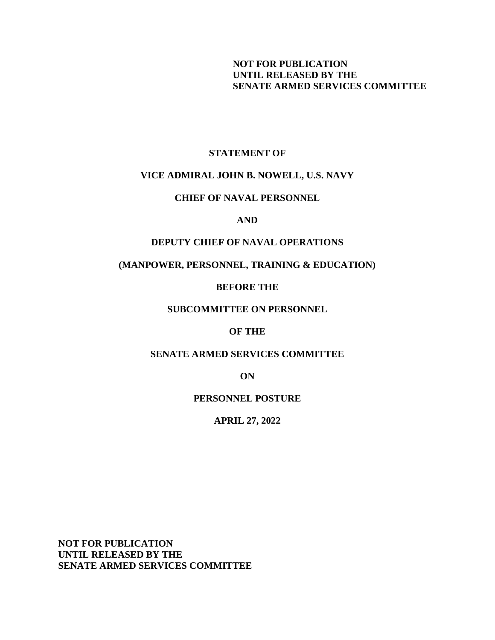# **NOT FOR PUBLICATION UNTIL RELEASED BY THE SENATE ARMED SERVICES COMMITTEE**

## **STATEMENT OF**

## **VICE ADMIRAL JOHN B. NOWELL, U.S. NAVY**

## **CHIEF OF NAVAL PERSONNEL**

### **AND**

# **DEPUTY CHIEF OF NAVAL OPERATIONS**

# **(MANPOWER, PERSONNEL, TRAINING & EDUCATION)**

## **BEFORE THE**

## **SUBCOMMITTEE ON PERSONNEL**

## **OF THE**

## **SENATE ARMED SERVICES COMMITTEE**

**ON**

### **PERSONNEL POSTURE**

**APRIL 27, 2022**

**NOT FOR PUBLICATION UNTIL RELEASED BY THE SENATE ARMED SERVICES COMMITTEE**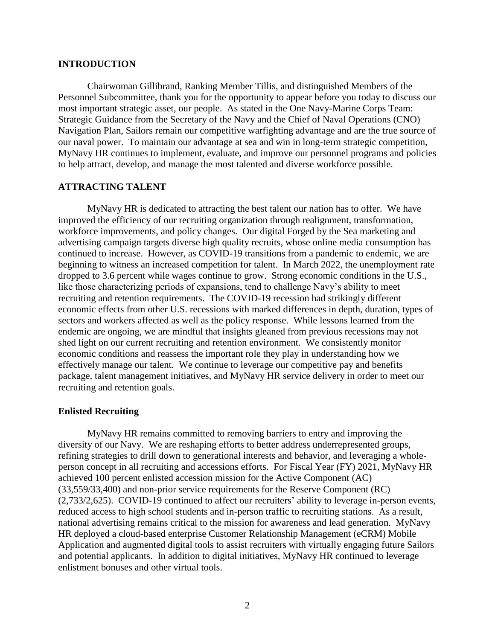### **INTRODUCTION**

Chairwoman Gillibrand, Ranking Member Tillis, and distinguished Members of the Personnel Subcommittee, thank you for the opportunity to appear before you today to discuss our most important strategic asset, our people. As stated in the One Navy-Marine Corps Team: Strategic Guidance from the Secretary of the Navy and the Chief of Naval Operations (CNO) Navigation Plan, Sailors remain our competitive warfighting advantage and are the true source of our naval power. To maintain our advantage at sea and win in long-term strategic competition, MyNavy HR continues to implement, evaluate, and improve our personnel programs and policies to help attract, develop, and manage the most talented and diverse workforce possible.

# **ATTRACTING TALENT**

MyNavy HR is dedicated to attracting the best talent our nation has to offer. We have improved the efficiency of our recruiting organization through realignment, transformation, workforce improvements, and policy changes. Our digital Forged by the Sea marketing and advertising campaign targets diverse high quality recruits, whose online media consumption has continued to increase. However, as COVID-19 transitions from a pandemic to endemic, we are beginning to witness an increased competition for talent. In March 2022, the unemployment rate dropped to 3.6 percent while wages continue to grow. Strong economic conditions in the U.S., like those characterizing periods of expansions, tend to challenge Navy's ability to meet recruiting and retention requirements. The COVID-19 recession had strikingly different economic effects from other U.S. recessions with marked differences in depth, duration, types of sectors and workers affected as well as the policy response. While lessons learned from the endemic are ongoing, we are mindful that insights gleaned from previous recessions may not shed light on our current recruiting and retention environment. We consistently monitor economic conditions and reassess the important role they play in understanding how we effectively manage our talent. We continue to leverage our competitive pay and benefits package, talent management initiatives, and MyNavy HR service delivery in order to meet our recruiting and retention goals.

### **Enlisted Recruiting**

MyNavy HR remains committed to removing barriers to entry and improving the diversity of our Navy. We are reshaping efforts to better address underrepresented groups, refining strategies to drill down to generational interests and behavior, and leveraging a wholeperson concept in all recruiting and accessions efforts. For Fiscal Year (FY) 2021, MyNavy HR achieved 100 percent enlisted accession mission for the Active Component (AC) (33,559/33,400) and non-prior service requirements for the Reserve Component (RC) (2,733/2,625). COVID-19 continued to affect our recruiters' ability to leverage in-person events, reduced access to high school students and in-person traffic to recruiting stations. As a result, national advertising remains critical to the mission for awareness and lead generation. MyNavy HR deployed a cloud-based enterprise Customer Relationship Management (eCRM) Mobile Application and augmented digital tools to assist recruiters with virtually engaging future Sailors and potential applicants. In addition to digital initiatives, MyNavy HR continued to leverage enlistment bonuses and other virtual tools.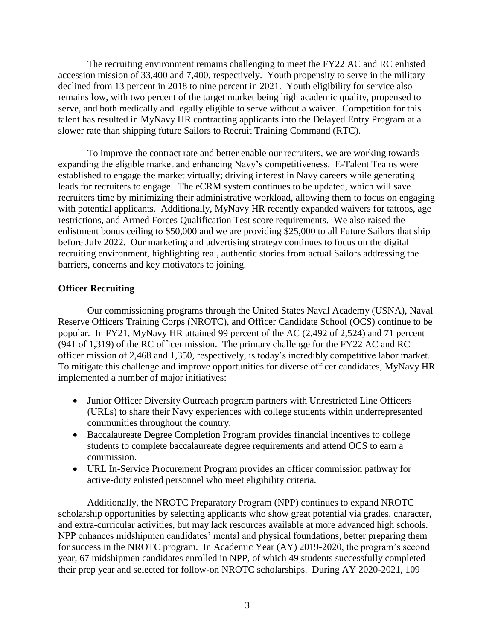The recruiting environment remains challenging to meet the FY22 AC and RC enlisted accession mission of 33,400 and 7,400, respectively. Youth propensity to serve in the military declined from 13 percent in 2018 to nine percent in 2021. Youth eligibility for service also remains low, with two percent of the target market being high academic quality, propensed to serve, and both medically and legally eligible to serve without a waiver. Competition for this talent has resulted in MyNavy HR contracting applicants into the Delayed Entry Program at a slower rate than shipping future Sailors to Recruit Training Command (RTC).

To improve the contract rate and better enable our recruiters, we are working towards expanding the eligible market and enhancing Navy's competitiveness. E-Talent Teams were established to engage the market virtually; driving interest in Navy careers while generating leads for recruiters to engage. The eCRM system continues to be updated, which will save recruiters time by minimizing their administrative workload, allowing them to focus on engaging with potential applicants. Additionally, MyNavy HR recently expanded waivers for tattoos, age restrictions, and Armed Forces Qualification Test score requirements. We also raised the enlistment bonus ceiling to \$50,000 and we are providing \$25,000 to all Future Sailors that ship before July 2022. Our marketing and advertising strategy continues to focus on the digital recruiting environment, highlighting real, authentic stories from actual Sailors addressing the barriers, concerns and key motivators to joining.

## **Officer Recruiting**

Our commissioning programs through the United States Naval Academy (USNA), Naval Reserve Officers Training Corps (NROTC), and Officer Candidate School (OCS) continue to be popular. In FY21, MyNavy HR attained 99 percent of the AC (2,492 of 2,524) and 71 percent (941 of 1,319) of the RC officer mission. The primary challenge for the FY22 AC and RC officer mission of 2,468 and 1,350, respectively, is today's incredibly competitive labor market. To mitigate this challenge and improve opportunities for diverse officer candidates, MyNavy HR implemented a number of major initiatives:

- Junior Officer Diversity Outreach program partners with Unrestricted Line Officers (URLs) to share their Navy experiences with college students within underrepresented communities throughout the country.
- Baccalaureate Degree Completion Program provides financial incentives to college students to complete baccalaureate degree requirements and attend OCS to earn a commission.
- URL In-Service Procurement Program provides an officer commission pathway for active-duty enlisted personnel who meet eligibility criteria.

Additionally, the NROTC Preparatory Program (NPP) continues to expand NROTC scholarship opportunities by selecting applicants who show great potential via grades, character, and extra-curricular activities, but may lack resources available at more advanced high schools. NPP enhances midshipmen candidates' mental and physical foundations, better preparing them for success in the NROTC program. In Academic Year (AY) 2019-2020, the program's second year, 67 midshipmen candidates enrolled in NPP, of which 49 students successfully completed their prep year and selected for follow-on NROTC scholarships. During AY 2020-2021, 109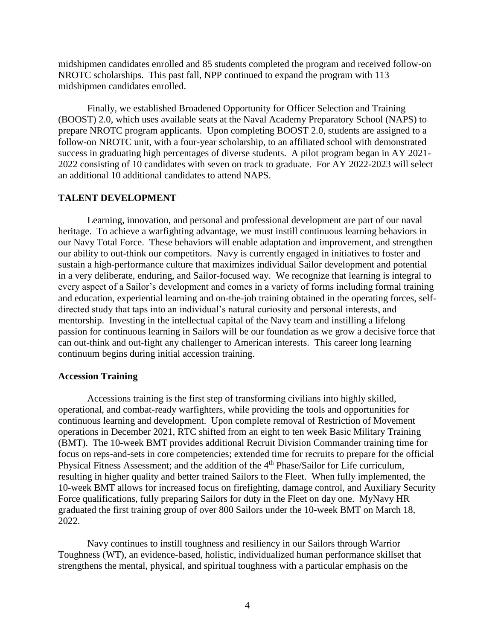midshipmen candidates enrolled and 85 students completed the program and received follow-on NROTC scholarships. This past fall, NPP continued to expand the program with 113 midshipmen candidates enrolled.

Finally, we established Broadened Opportunity for Officer Selection and Training (BOOST) 2.0, which uses available seats at the Naval Academy Preparatory School (NAPS) to prepare NROTC program applicants. Upon completing BOOST 2.0, students are assigned to a follow-on NROTC unit, with a four-year scholarship, to an affiliated school with demonstrated success in graduating high percentages of diverse students. A pilot program began in AY 2021- 2022 consisting of 10 candidates with seven on track to graduate. For AY 2022-2023 will select an additional 10 additional candidates to attend NAPS.

### **TALENT DEVELOPMENT**

Learning, innovation, and personal and professional development are part of our naval heritage. To achieve a warfighting advantage, we must instill continuous learning behaviors in our Navy Total Force. These behaviors will enable adaptation and improvement, and strengthen our ability to out-think our competitors. Navy is currently engaged in initiatives to foster and sustain a high-performance culture that maximizes individual Sailor development and potential in a very deliberate, enduring, and Sailor-focused way. We recognize that learning is integral to every aspect of a Sailor's development and comes in a variety of forms including formal training and education, experiential learning and on-the-job training obtained in the operating forces, selfdirected study that taps into an individual's natural curiosity and personal interests, and mentorship. Investing in the intellectual capital of the Navy team and instilling a lifelong passion for continuous learning in Sailors will be our foundation as we grow a decisive force that can out-think and out-fight any challenger to American interests. This career long learning continuum begins during initial accession training.

### **Accession Training**

Accessions training is the first step of transforming civilians into highly skilled, operational, and combat-ready warfighters, while providing the tools and opportunities for continuous learning and development. Upon complete removal of Restriction of Movement operations in December 2021, RTC shifted from an eight to ten week Basic Military Training (BMT). The 10-week BMT provides additional Recruit Division Commander training time for focus on reps-and-sets in core competencies; extended time for recruits to prepare for the official Physical Fitness Assessment; and the addition of the 4th Phase/Sailor for Life curriculum, resulting in higher quality and better trained Sailors to the Fleet. When fully implemented, the 10-week BMT allows for increased focus on firefighting, damage control, and Auxiliary Security Force qualifications, fully preparing Sailors for duty in the Fleet on day one. MyNavy HR graduated the first training group of over 800 Sailors under the 10-week BMT on March 18, 2022.

Navy continues to instill toughness and resiliency in our Sailors through Warrior Toughness (WT), an evidence-based, holistic, individualized human performance skillset that strengthens the mental, physical, and spiritual toughness with a particular emphasis on the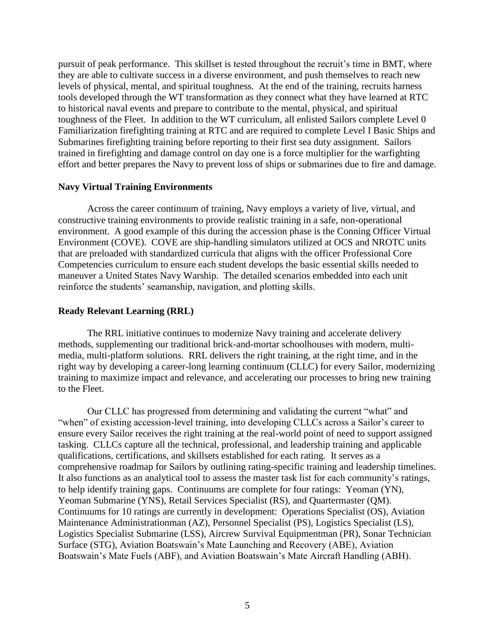pursuit of peak performance. This skillset is tested throughout the recruit's time in BMT, where they are able to cultivate success in a diverse environment, and push themselves to reach new levels of physical, mental, and spiritual toughness. At the end of the training, recruits harness tools developed through the WT transformation as they connect what they have learned at RTC to historical naval events and prepare to contribute to the mental, physical, and spiritual toughness of the Fleet. In addition to the WT curriculum, all enlisted Sailors complete Level 0 Familiarization firefighting training at RTC and are required to complete Level I Basic Ships and Submarines firefighting training before reporting to their first sea duty assignment. Sailors trained in firefighting and damage control on day one is a force multiplier for the warfighting effort and better prepares the Navy to prevent loss of ships or submarines due to fire and damage.

## **Navy Virtual Training Environments**

Across the career continuum of training, Navy employs a variety of live, virtual, and constructive training environments to provide realistic training in a safe, non-operational environment. A good example of this during the accession phase is the Conning Officer Virtual Environment (COVE). COVE are ship-handling simulators utilized at OCS and NROTC units that are preloaded with standardized curricula that aligns with the officer Professional Core Competencies curriculum to ensure each student develops the basic essential skills needed to maneuver a United States Navy Warship. The detailed scenarios embedded into each unit reinforce the students' seamanship, navigation, and plotting skills.

### **Ready Relevant Learning (RRL)**

The RRL initiative continues to modernize Navy training and accelerate delivery methods, supplementing our traditional brick-and-mortar schoolhouses with modern, multimedia, multi-platform solutions. RRL delivers the right training, at the right time, and in the right way by developing a career-long learning continuum (CLLC) for every Sailor, modernizing training to maximize impact and relevance, and accelerating our processes to bring new training to the Fleet.

Our CLLC has progressed from determining and validating the current "what" and "when" of existing accession-level training, into developing CLLCs across a Sailor's career to ensure every Sailor receives the right training at the real-world point of need to support assigned tasking. CLLCs capture all the technical, professional, and leadership training and applicable qualifications, certifications, and skillsets established for each rating. It serves as a comprehensive roadmap for Sailors by outlining rating-specific training and leadership timelines. It also functions as an analytical tool to assess the master task list for each community's ratings, to help identify training gaps. Continuums are complete for four ratings: Yeoman (YN), Yeoman Submarine (YNS), Retail Services Specialist (RS), and Quartermaster (QM). Continuums for 10 ratings are currently in development: Operations Specialist (OS), Aviation Maintenance Administrationman (AZ), Personnel Specialist (PS), Logistics Specialist (LS), Logistics Specialist Submarine (LSS), Aircrew Survival Equipmentman (PR), Sonar Technician Surface (STG), Aviation Boatswain's Mate Launching and Recovery (ABE), Aviation Boatswain's Mate Fuels (ABF), and Aviation Boatswain's Mate Aircraft Handling (ABH).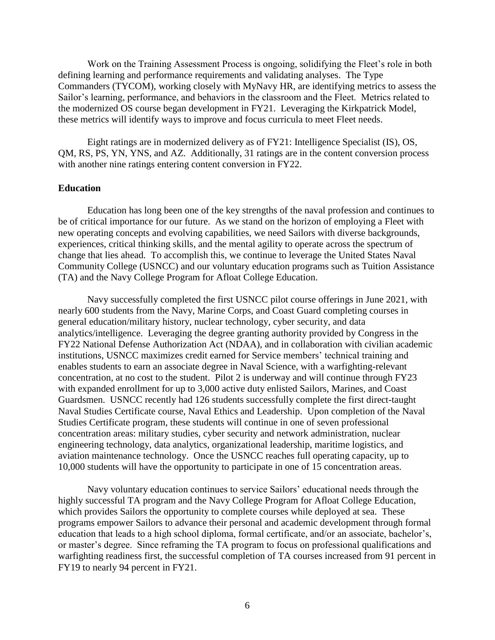Work on the Training Assessment Process is ongoing, solidifying the Fleet's role in both defining learning and performance requirements and validating analyses. The Type Commanders (TYCOM), working closely with MyNavy HR, are identifying metrics to assess the Sailor's learning, performance, and behaviors in the classroom and the Fleet. Metrics related to the modernized OS course began development in FY21. Leveraging the Kirkpatrick Model, these metrics will identify ways to improve and focus curricula to meet Fleet needs.

Eight ratings are in modernized delivery as of FY21: Intelligence Specialist (IS), OS, QM, RS, PS, YN, YNS, and AZ. Additionally, 31 ratings are in the content conversion process with another nine ratings entering content conversion in FY22.

### **Education**

Education has long been one of the key strengths of the naval profession and continues to be of critical importance for our future. As we stand on the horizon of employing a Fleet with new operating concepts and evolving capabilities, we need Sailors with diverse backgrounds, experiences, critical thinking skills, and the mental agility to operate across the spectrum of change that lies ahead. To accomplish this, we continue to leverage the United States Naval Community College (USNCC) and our voluntary education programs such as Tuition Assistance (TA) and the Navy College Program for Afloat College Education.

Navy successfully completed the first USNCC pilot course offerings in June 2021, with nearly 600 students from the Navy, Marine Corps, and Coast Guard completing courses in general education/military history, nuclear technology, cyber security, and data analytics/intelligence. Leveraging the degree granting authority provided by Congress in the FY22 National Defense Authorization Act (NDAA), and in collaboration with civilian academic institutions, USNCC maximizes credit earned for Service members' technical training and enables students to earn an associate degree in Naval Science, with a warfighting-relevant concentration, at no cost to the student. Pilot 2 is underway and will continue through FY23 with expanded enrollment for up to 3,000 active duty enlisted Sailors, Marines, and Coast Guardsmen. USNCC recently had 126 students successfully complete the first direct-taught Naval Studies Certificate course, Naval Ethics and Leadership. Upon completion of the Naval Studies Certificate program, these students will continue in one of seven professional concentration areas: military studies, cyber security and network administration, nuclear engineering technology, data analytics, organizational leadership, maritime logistics, and aviation maintenance technology. Once the USNCC reaches full operating capacity, up to 10,000 students will have the opportunity to participate in one of 15 concentration areas.

Navy voluntary education continues to service Sailors' educational needs through the highly successful TA program and the Navy College Program for Afloat College Education, which provides Sailors the opportunity to complete courses while deployed at sea. These programs empower Sailors to advance their personal and academic development through formal education that leads to a high school diploma, formal certificate, and/or an associate, bachelor's, or master's degree. Since reframing the TA program to focus on professional qualifications and warfighting readiness first, the successful completion of TA courses increased from 91 percent in FY19 to nearly 94 percent in FY21.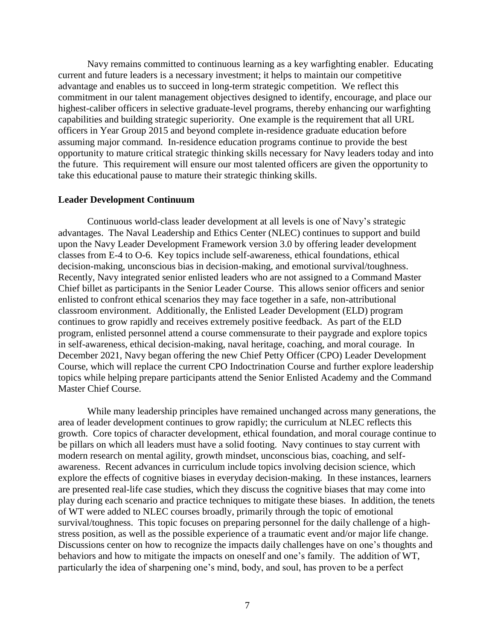Navy remains committed to continuous learning as a key warfighting enabler. Educating current and future leaders is a necessary investment; it helps to maintain our competitive advantage and enables us to succeed in long-term strategic competition. We reflect this commitment in our talent management objectives designed to identify, encourage, and place our highest-caliber officers in selective graduate-level programs, thereby enhancing our warfighting capabilities and building strategic superiority. One example is the requirement that all URL officers in Year Group 2015 and beyond complete in-residence graduate education before assuming major command. In-residence education programs continue to provide the best opportunity to mature critical strategic thinking skills necessary for Navy leaders today and into the future. This requirement will ensure our most talented officers are given the opportunity to take this educational pause to mature their strategic thinking skills.

#### **Leader Development Continuum**

Continuous world-class leader development at all levels is one of Navy's strategic advantages. The Naval Leadership and Ethics Center (NLEC) continues to support and build upon the Navy Leader Development Framework version 3.0 by offering leader development classes from E-4 to O-6. Key topics include self-awareness, ethical foundations, ethical decision-making, unconscious bias in decision-making, and emotional survival/toughness. Recently, Navy integrated senior enlisted leaders who are not assigned to a Command Master Chief billet as participants in the Senior Leader Course. This allows senior officers and senior enlisted to confront ethical scenarios they may face together in a safe, non-attributional classroom environment. Additionally, the Enlisted Leader Development (ELD) program continues to grow rapidly and receives extremely positive feedback. As part of the ELD program, enlisted personnel attend a course commensurate to their paygrade and explore topics in self-awareness, ethical decision-making, naval heritage, coaching, and moral courage. In December 2021, Navy began offering the new Chief Petty Officer (CPO) Leader Development Course, which will replace the current CPO Indoctrination Course and further explore leadership topics while helping prepare participants attend the Senior Enlisted Academy and the Command Master Chief Course.

While many leadership principles have remained unchanged across many generations, the area of leader development continues to grow rapidly; the curriculum at NLEC reflects this growth. Core topics of character development, ethical foundation, and moral courage continue to be pillars on which all leaders must have a solid footing. Navy continues to stay current with modern research on mental agility, growth mindset, unconscious bias, coaching, and selfawareness. Recent advances in curriculum include topics involving decision science, which explore the effects of cognitive biases in everyday decision-making. In these instances, learners are presented real-life case studies, which they discuss the cognitive biases that may come into play during each scenario and practice techniques to mitigate these biases. In addition, the tenets of WT were added to NLEC courses broadly, primarily through the topic of emotional survival/toughness. This topic focuses on preparing personnel for the daily challenge of a highstress position, as well as the possible experience of a traumatic event and/or major life change. Discussions center on how to recognize the impacts daily challenges have on one's thoughts and behaviors and how to mitigate the impacts on oneself and one's family. The addition of WT, particularly the idea of sharpening one's mind, body, and soul, has proven to be a perfect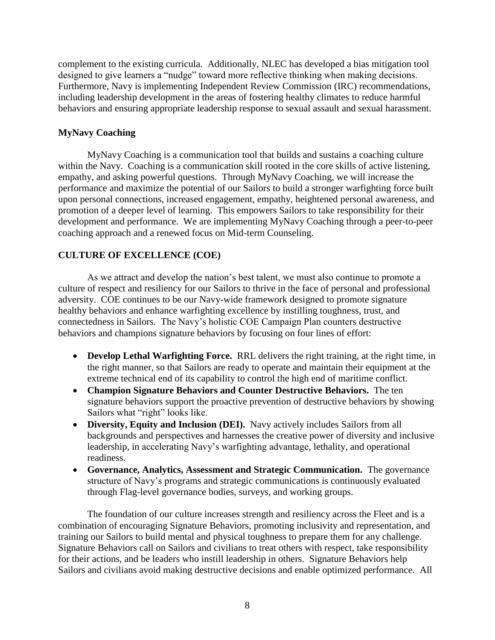complement to the existing curricula. Additionally, NLEC has developed a bias mitigation tool designed to give learners a "nudge" toward more reflective thinking when making decisions. Furthermore, Navy is implementing Independent Review Commission (IRC) recommendations, including leadership development in the areas of fostering healthy climates to reduce harmful behaviors and ensuring appropriate leadership response to sexual assault and sexual harassment.

# **MyNavy Coaching**

MyNavy Coaching is a communication tool that builds and sustains a coaching culture within the Navy. Coaching is a communication skill rooted in the core skills of active listening, empathy, and asking powerful questions. Through MyNavy Coaching, we will increase the performance and maximize the potential of our Sailors to build a stronger warfighting force built upon personal connections, increased engagement, empathy, heightened personal awareness, and promotion of a deeper level of learning. This empowers Sailors to take responsibility for their development and performance. We are implementing MyNavy Coaching through a peer-to-peer coaching approach and a renewed focus on Mid-term Counseling.

# **CULTURE OF EXCELLENCE (COE)**

As we attract and develop the nation's best talent, we must also continue to promote a culture of respect and resiliency for our Sailors to thrive in the face of personal and professional adversity. COE continues to be our Navy-wide framework designed to promote signature healthy behaviors and enhance warfighting excellence by instilling toughness, trust, and connectedness in Sailors. The Navy's holistic COE Campaign Plan counters destructive behaviors and champions signature behaviors by focusing on four lines of effort:

- **Develop Lethal Warfighting Force.** RRL delivers the right training, at the right time, in the right manner, so that Sailors are ready to operate and maintain their equipment at the extreme technical end of its capability to control the high end of maritime conflict.
- **Champion Signature Behaviors and Counter Destructive Behaviors.** The ten signature behaviors support the proactive prevention of destructive behaviors by showing Sailors what "right" looks like.
- **Diversity, Equity and Inclusion (DEI).** Navy actively includes Sailors from all backgrounds and perspectives and harnesses the creative power of diversity and inclusive leadership, in accelerating Navy's warfighting advantage, lethality, and operational readiness.
- **Governance, Analytics, Assessment and Strategic Communication.** The governance structure of Navy's programs and strategic communications is continuously evaluated through Flag-level governance bodies, surveys, and working groups.

The foundation of our culture increases strength and resiliency across the Fleet and is a combination of encouraging Signature Behaviors, promoting inclusivity and representation, and training our Sailors to build mental and physical toughness to prepare them for any challenge. Signature Behaviors call on Sailors and civilians to treat others with respect, take responsibility for their actions, and be leaders who instill leadership in others. Signature Behaviors help Sailors and civilians avoid making destructive decisions and enable optimized performance. All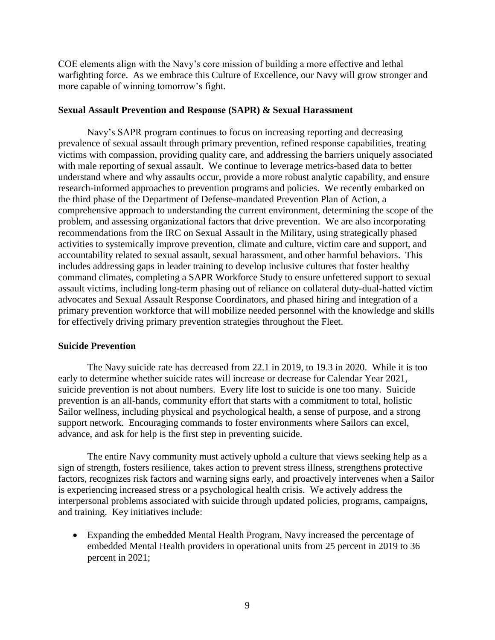COE elements align with the Navy's core mission of building a more effective and lethal warfighting force. As we embrace this Culture of Excellence, our Navy will grow stronger and more capable of winning tomorrow's fight.

### **Sexual Assault Prevention and Response (SAPR) & Sexual Harassment**

Navy's SAPR program continues to focus on increasing reporting and decreasing prevalence of sexual assault through primary prevention, refined response capabilities, treating victims with compassion, providing quality care, and addressing the barriers uniquely associated with male reporting of sexual assault. We continue to leverage metrics-based data to better understand where and why assaults occur, provide a more robust analytic capability, and ensure research-informed approaches to prevention programs and policies. We recently embarked on the third phase of the Department of Defense-mandated Prevention Plan of Action, a comprehensive approach to understanding the current environment, determining the scope of the problem, and assessing organizational factors that drive prevention. We are also incorporating recommendations from the IRC on Sexual Assault in the Military, using strategically phased activities to systemically improve prevention, climate and culture, victim care and support, and accountability related to sexual assault, sexual harassment, and other harmful behaviors. This includes addressing gaps in leader training to develop inclusive cultures that foster healthy command climates, completing a SAPR Workforce Study to ensure unfettered support to sexual assault victims, including long-term phasing out of reliance on collateral duty-dual-hatted victim advocates and Sexual Assault Response Coordinators, and phased hiring and integration of a primary prevention workforce that will mobilize needed personnel with the knowledge and skills for effectively driving primary prevention strategies throughout the Fleet.

### **Suicide Prevention**

The Navy suicide rate has decreased from 22.1 in 2019, to 19.3 in 2020. While it is too early to determine whether suicide rates will increase or decrease for Calendar Year 2021, suicide prevention is not about numbers. Every life lost to suicide is one too many. Suicide prevention is an all-hands, community effort that starts with a commitment to total, holistic Sailor wellness, including physical and psychological health, a sense of purpose, and a strong support network. Encouraging commands to foster environments where Sailors can excel, advance, and ask for help is the first step in preventing suicide.

The entire Navy community must actively uphold a culture that views seeking help as a sign of strength, fosters resilience, takes action to prevent stress illness, strengthens protective factors, recognizes risk factors and warning signs early, and proactively intervenes when a Sailor is experiencing increased stress or a psychological health crisis. We actively address the interpersonal problems associated with suicide through updated policies, programs, campaigns, and training. Key initiatives include:

 Expanding the embedded Mental Health Program, Navy increased the percentage of embedded Mental Health providers in operational units from 25 percent in 2019 to 36 percent in 2021;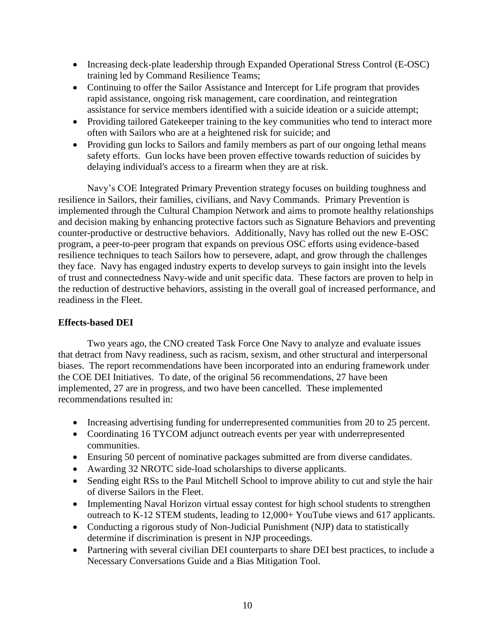- Increasing deck-plate leadership through Expanded Operational Stress Control (E-OSC) training led by Command Resilience Teams;
- Continuing to offer the Sailor Assistance and Intercept for Life program that provides rapid assistance, ongoing risk management, care coordination, and reintegration assistance for service members identified with a suicide ideation or a suicide attempt;
- Providing tailored Gatekeeper training to the key communities who tend to interact more often with Sailors who are at a heightened risk for suicide; and
- Providing gun locks to Sailors and family members as part of our ongoing lethal means safety efforts. Gun locks have been proven effective towards reduction of suicides by delaying individual's access to a firearm when they are at risk.

Navy's COE Integrated Primary Prevention strategy focuses on building toughness and resilience in Sailors, their families, civilians, and Navy Commands. Primary Prevention is implemented through the Cultural Champion Network and aims to promote healthy relationships and decision making by enhancing protective factors such as Signature Behaviors and preventing counter-productive or destructive behaviors. Additionally, Navy has rolled out the new E-OSC program, a peer-to-peer program that expands on previous OSC efforts using evidence-based resilience techniques to teach Sailors how to persevere, adapt, and grow through the challenges they face. Navy has engaged industry experts to develop surveys to gain insight into the levels of trust and connectedness Navy-wide and unit specific data. These factors are proven to help in the reduction of destructive behaviors, assisting in the overall goal of increased performance, and readiness in the Fleet.

## **Effects-based DEI**

Two years ago, the CNO created Task Force One Navy to analyze and evaluate issues that detract from Navy readiness, such as racism, sexism, and other structural and interpersonal biases. The report recommendations have been incorporated into an enduring framework under the COE DEI Initiatives. To date, of the original 56 recommendations, 27 have been implemented, 27 are in progress, and two have been cancelled. These implemented recommendations resulted in:

- Increasing advertising funding for underrepresented communities from 20 to 25 percent.
- Coordinating 16 TYCOM adjunct outreach events per year with underrepresented communities.
- Ensuring 50 percent of nominative packages submitted are from diverse candidates.
- Awarding 32 NROTC side-load scholarships to diverse applicants.
- Sending eight RSs to the Paul Mitchell School to improve ability to cut and style the hair of diverse Sailors in the Fleet.
- Implementing Naval Horizon virtual essay contest for high school students to strengthen outreach to K-12 STEM students, leading to 12,000+ YouTube views and 617 applicants.
- Conducting a rigorous study of Non-Judicial Punishment (NJP) data to statistically determine if discrimination is present in NJP proceedings.
- Partnering with several civilian DEI counterparts to share DEI best practices, to include a Necessary Conversations Guide and a Bias Mitigation Tool.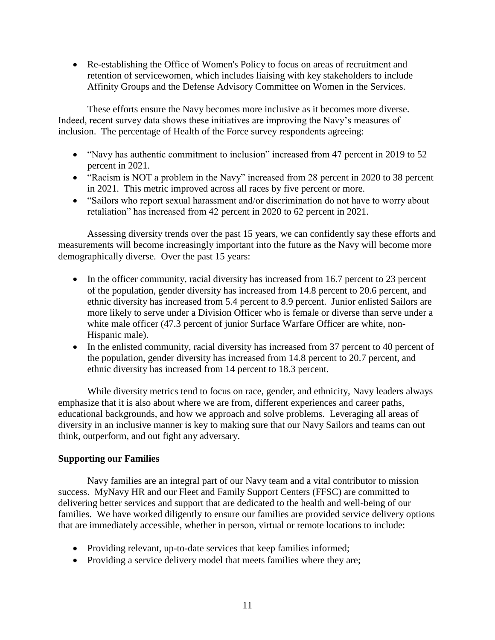Re-establishing the Office of Women's Policy to focus on areas of recruitment and retention of servicewomen, which includes liaising with key stakeholders to include Affinity Groups and the Defense Advisory Committee on Women in the Services.

These efforts ensure the Navy becomes more inclusive as it becomes more diverse. Indeed, recent survey data shows these initiatives are improving the Navy's measures of inclusion. The percentage of Health of the Force survey respondents agreeing:

- "Navy has authentic commitment to inclusion" increased from 47 percent in 2019 to 52 percent in 2021.
- "Racism is NOT a problem in the Navy" increased from 28 percent in 2020 to 38 percent in 2021. This metric improved across all races by five percent or more.
- "Sailors who report sexual harassment and/or discrimination do not have to worry about retaliation" has increased from 42 percent in 2020 to 62 percent in 2021.

Assessing diversity trends over the past 15 years, we can confidently say these efforts and measurements will become increasingly important into the future as the Navy will become more demographically diverse. Over the past 15 years:

- In the officer community, racial diversity has increased from 16.7 percent to 23 percent of the population, gender diversity has increased from 14.8 percent to 20.6 percent, and ethnic diversity has increased from 5.4 percent to 8.9 percent. Junior enlisted Sailors are more likely to serve under a Division Officer who is female or diverse than serve under a white male officer (47.3 percent of junior Surface Warfare Officer are white, non-Hispanic male).
- In the enlisted community, racial diversity has increased from 37 percent to 40 percent of the population, gender diversity has increased from 14.8 percent to 20.7 percent, and ethnic diversity has increased from 14 percent to 18.3 percent.

While diversity metrics tend to focus on race, gender, and ethnicity, Navy leaders always emphasize that it is also about where we are from, different experiences and career paths, educational backgrounds, and how we approach and solve problems. Leveraging all areas of diversity in an inclusive manner is key to making sure that our Navy Sailors and teams can out think, outperform, and out fight any adversary.

# **Supporting our Families**

Navy families are an integral part of our Navy team and a vital contributor to mission success. MyNavy HR and our Fleet and Family Support Centers (FFSC) are committed to delivering better services and support that are dedicated to the health and well-being of our families. We have worked diligently to ensure our families are provided service delivery options that are immediately accessible, whether in person, virtual or remote locations to include:

- Providing relevant, up-to-date services that keep families informed;
- Providing a service delivery model that meets families where they are;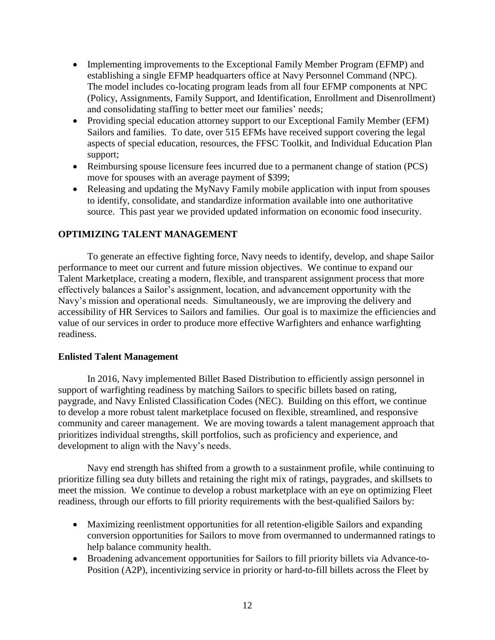- Implementing improvements to the Exceptional Family Member Program (EFMP) and establishing a single EFMP headquarters office at Navy Personnel Command (NPC). The model includes co-locating program leads from all four EFMP components at NPC (Policy, Assignments, Family Support, and Identification, Enrollment and Disenrollment) and consolidating staffing to better meet our families' needs;
- Providing special education attorney support to our Exceptional Family Member (EFM) Sailors and families. To date, over 515 EFMs have received support covering the legal aspects of special education, resources, the FFSC Toolkit, and Individual Education Plan support;
- Reimbursing spouse licensure fees incurred due to a permanent change of station (PCS) move for spouses with an average payment of \$399;
- Releasing and updating the MyNavy Family mobile application with input from spouses to identify, consolidate, and standardize information available into one authoritative source. This past year we provided updated information on economic food insecurity.

# **OPTIMIZING TALENT MANAGEMENT**

To generate an effective fighting force, Navy needs to identify, develop, and shape Sailor performance to meet our current and future mission objectives. We continue to expand our Talent Marketplace, creating a modern, flexible, and transparent assignment process that more effectively balances a Sailor's assignment, location, and advancement opportunity with the Navy's mission and operational needs. Simultaneously, we are improving the delivery and accessibility of HR Services to Sailors and families. Our goal is to maximize the efficiencies and value of our services in order to produce more effective Warfighters and enhance warfighting readiness.

## **Enlisted Talent Management**

In 2016, Navy implemented Billet Based Distribution to efficiently assign personnel in support of warfighting readiness by matching Sailors to specific billets based on rating, paygrade, and Navy Enlisted Classification Codes (NEC). Building on this effort, we continue to develop a more robust talent marketplace focused on flexible, streamlined, and responsive community and career management. We are moving towards a talent management approach that prioritizes individual strengths, skill portfolios, such as proficiency and experience, and development to align with the Navy's needs.

Navy end strength has shifted from a growth to a sustainment profile, while continuing to prioritize filling sea duty billets and retaining the right mix of ratings, paygrades, and skillsets to meet the mission. We continue to develop a robust marketplace with an eye on optimizing Fleet readiness, through our efforts to fill priority requirements with the best-qualified Sailors by:

- Maximizing reenlistment opportunities for all retention-eligible Sailors and expanding conversion opportunities for Sailors to move from overmanned to undermanned ratings to help balance community health.
- Broadening advancement opportunities for Sailors to fill priority billets via Advance-to-Position (A2P), incentivizing service in priority or hard-to-fill billets across the Fleet by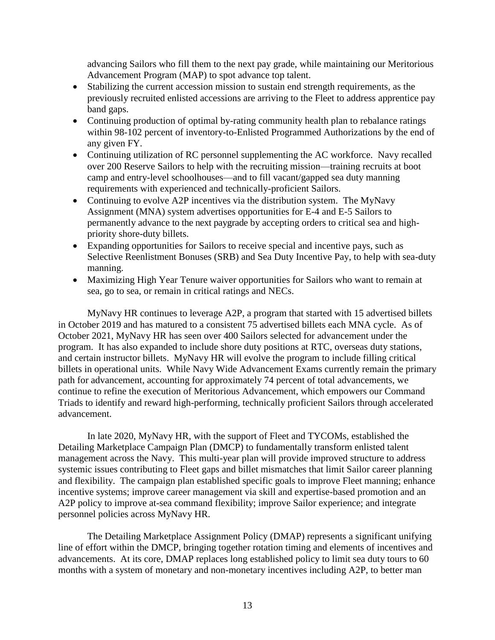advancing Sailors who fill them to the next pay grade, while maintaining our Meritorious Advancement Program (MAP) to spot advance top talent.

- Stabilizing the current accession mission to sustain end strength requirements, as the previously recruited enlisted accessions are arriving to the Fleet to address apprentice pay band gaps.
- Continuing production of optimal by-rating community health plan to rebalance ratings within 98-102 percent of inventory-to-Enlisted Programmed Authorizations by the end of any given FY.
- Continuing utilization of RC personnel supplementing the AC workforce. Navy recalled over 200 Reserve Sailors to help with the recruiting mission—training recruits at boot camp and entry-level schoolhouses—and to fill vacant/gapped sea duty manning requirements with experienced and technically-proficient Sailors.
- Continuing to evolve A2P incentives via the distribution system. The MyNavy Assignment (MNA) system advertises opportunities for E-4 and E-5 Sailors to permanently advance to the next paygrade by accepting orders to critical sea and highpriority shore-duty billets.
- Expanding opportunities for Sailors to receive special and incentive pays, such as Selective Reenlistment Bonuses (SRB) and Sea Duty Incentive Pay, to help with sea-duty manning.
- Maximizing High Year Tenure waiver opportunities for Sailors who want to remain at sea, go to sea, or remain in critical ratings and NECs.

MyNavy HR continues to leverage A2P, a program that started with 15 advertised billets in October 2019 and has matured to a consistent 75 advertised billets each MNA cycle. As of October 2021, MyNavy HR has seen over 400 Sailors selected for advancement under the program. It has also expanded to include shore duty positions at RTC, overseas duty stations, and certain instructor billets. MyNavy HR will evolve the program to include filling critical billets in operational units. While Navy Wide Advancement Exams currently remain the primary path for advancement, accounting for approximately 74 percent of total advancements, we continue to refine the execution of Meritorious Advancement, which empowers our Command Triads to identify and reward high-performing, technically proficient Sailors through accelerated advancement.

In late 2020, MyNavy HR, with the support of Fleet and TYCOMs, established the Detailing Marketplace Campaign Plan (DMCP) to fundamentally transform enlisted talent management across the Navy. This multi-year plan will provide improved structure to address systemic issues contributing to Fleet gaps and billet mismatches that limit Sailor career planning and flexibility. The campaign plan established specific goals to improve Fleet manning; enhance incentive systems; improve career management via skill and expertise-based promotion and an A2P policy to improve at-sea command flexibility; improve Sailor experience; and integrate personnel policies across MyNavy HR.

The Detailing Marketplace Assignment Policy (DMAP) represents a significant unifying line of effort within the DMCP, bringing together rotation timing and elements of incentives and advancements. At its core, DMAP replaces long established policy to limit sea duty tours to 60 months with a system of monetary and non-monetary incentives including A2P, to better man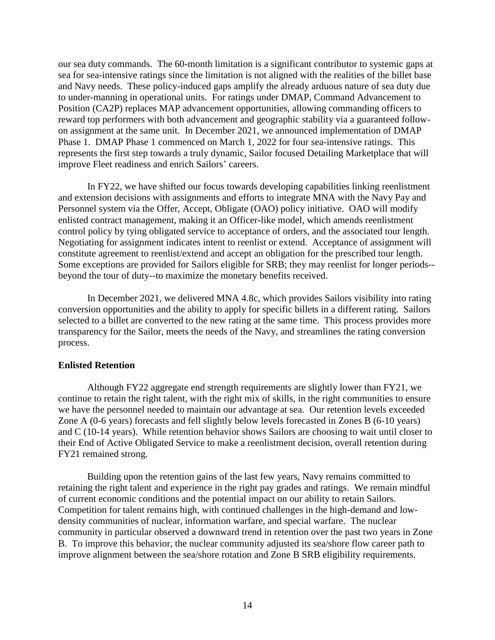our sea duty commands. The 60-month limitation is a significant contributor to systemic gaps at sea for sea-intensive ratings since the limitation is not aligned with the realities of the billet base and Navy needs. These policy-induced gaps amplify the already arduous nature of sea duty due to under-manning in operational units. For ratings under DMAP, Command Advancement to Position (CA2P) replaces MAP advancement opportunities, allowing commanding officers to reward top performers with both advancement and geographic stability via a guaranteed followon assignment at the same unit. In December 2021, we announced implementation of DMAP Phase 1. DMAP Phase 1 commenced on March 1, 2022 for four sea-intensive ratings. This represents the first step towards a truly dynamic, Sailor focused Detailing Marketplace that will improve Fleet readiness and enrich Sailors' careers.

In FY22, we have shifted our focus towards developing capabilities linking reenlistment and extension decisions with assignments and efforts to integrate MNA with the Navy Pay and Personnel system via the Offer, Accept, Obligate (OAO) policy initiative. OAO will modify enlisted contract management, making it an Officer-like model, which amends reenlistment control policy by tying obligated service to acceptance of orders, and the associated tour length. Negotiating for assignment indicates intent to reenlist or extend. Acceptance of assignment will constitute agreement to reenlist/extend and accept an obligation for the prescribed tour length. Some exceptions are provided for Sailors eligible for SRB; they may reenlist for longer periods- beyond the tour of duty--to maximize the monetary benefits received.

In December 2021, we delivered MNA 4.8c, which provides Sailors visibility into rating conversion opportunities and the ability to apply for specific billets in a different rating. Sailors selected to a billet are converted to the new rating at the same time. This process provides more transparency for the Sailor, meets the needs of the Navy, and streamlines the rating conversion process.

### **Enlisted Retention**

Although FY22 aggregate end strength requirements are slightly lower than FY21, we continue to retain the right talent, with the right mix of skills, in the right communities to ensure we have the personnel needed to maintain our advantage at sea. Our retention levels exceeded Zone A (0-6 years) forecasts and fell slightly below levels forecasted in Zones B (6-10 years) and C (10-14 years). While retention behavior shows Sailors are choosing to wait until closer to their End of Active Obligated Service to make a reenlistment decision, overall retention during FY21 remained strong.

Building upon the retention gains of the last few years, Navy remains committed to retaining the right talent and experience in the right pay grades and ratings. We remain mindful of current economic conditions and the potential impact on our ability to retain Sailors. Competition for talent remains high, with continued challenges in the high-demand and lowdensity communities of nuclear, information warfare, and special warfare. The nuclear community in particular observed a downward trend in retention over the past two years in Zone B. To improve this behavior, the nuclear community adjusted its sea/shore flow career path to improve alignment between the sea/shore rotation and Zone B SRB eligibility requirements.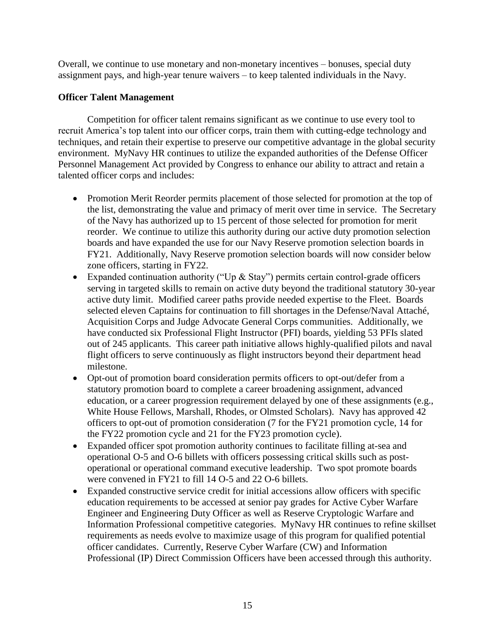Overall, we continue to use monetary and non-monetary incentives – bonuses, special duty assignment pays, and high-year tenure waivers – to keep talented individuals in the Navy.

# **Officer Talent Management**

Competition for officer talent remains significant as we continue to use every tool to recruit America's top talent into our officer corps, train them with cutting-edge technology and techniques, and retain their expertise to preserve our competitive advantage in the global security environment. MyNavy HR continues to utilize the expanded authorities of the Defense Officer Personnel Management Act provided by Congress to enhance our ability to attract and retain a talented officer corps and includes:

- Promotion Merit Reorder permits placement of those selected for promotion at the top of the list, demonstrating the value and primacy of merit over time in service. The Secretary of the Navy has authorized up to 15 percent of those selected for promotion for merit reorder. We continue to utilize this authority during our active duty promotion selection boards and have expanded the use for our Navy Reserve promotion selection boards in FY21. Additionally, Navy Reserve promotion selection boards will now consider below zone officers, starting in FY22.
- Expanded continuation authority ("Up  $\&$  Stay") permits certain control-grade officers serving in targeted skills to remain on active duty beyond the traditional statutory 30-year active duty limit. Modified career paths provide needed expertise to the Fleet. Boards selected eleven Captains for continuation to fill shortages in the Defense/Naval Attaché, Acquisition Corps and Judge Advocate General Corps communities. Additionally, we have conducted six Professional Flight Instructor (PFI) boards, yielding 53 PFIs slated out of 245 applicants. This career path initiative allows highly-qualified pilots and naval flight officers to serve continuously as flight instructors beyond their department head milestone.
- Opt-out of promotion board consideration permits officers to opt-out/defer from a statutory promotion board to complete a career broadening assignment, advanced education, or a career progression requirement delayed by one of these assignments (e.g., White House Fellows, Marshall, Rhodes, or Olmsted Scholars). Navy has approved 42 officers to opt-out of promotion consideration (7 for the FY21 promotion cycle, 14 for the FY22 promotion cycle and 21 for the FY23 promotion cycle).
- Expanded officer spot promotion authority continues to facilitate filling at-sea and operational O-5 and O-6 billets with officers possessing critical skills such as postoperational or operational command executive leadership. Two spot promote boards were convened in FY21 to fill 14 O-5 and 22 O-6 billets.
- Expanded constructive service credit for initial accessions allow officers with specific education requirements to be accessed at senior pay grades for Active Cyber Warfare Engineer and Engineering Duty Officer as well as Reserve Cryptologic Warfare and Information Professional competitive categories. MyNavy HR continues to refine skillset requirements as needs evolve to maximize usage of this program for qualified potential officer candidates. Currently, Reserve Cyber Warfare (CW) and Information Professional (IP) Direct Commission Officers have been accessed through this authority.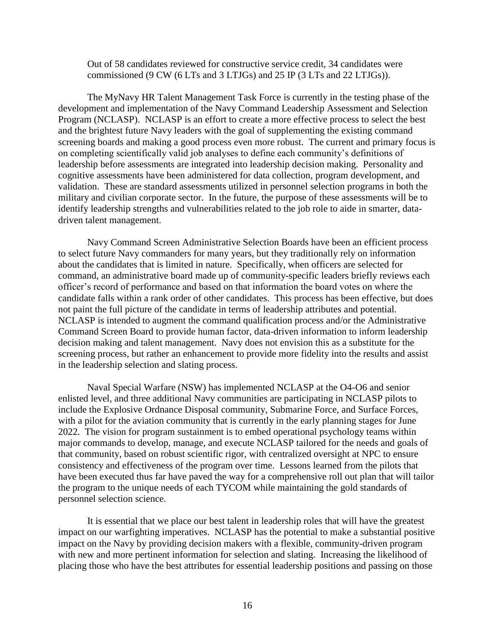Out of 58 candidates reviewed for constructive service credit, 34 candidates were commissioned (9 CW (6 LTs and 3 LTJGs) and 25 IP (3 LTs and 22 LTJGs)).

The MyNavy HR Talent Management Task Force is currently in the testing phase of the development and implementation of the Navy Command Leadership Assessment and Selection Program (NCLASP). NCLASP is an effort to create a more effective process to select the best and the brightest future Navy leaders with the goal of supplementing the existing command screening boards and making a good process even more robust. The current and primary focus is on completing scientifically valid job analyses to define each community's definitions of leadership before assessments are integrated into leadership decision making. Personality and cognitive assessments have been administered for data collection, program development, and validation. These are standard assessments utilized in personnel selection programs in both the military and civilian corporate sector. In the future, the purpose of these assessments will be to identify leadership strengths and vulnerabilities related to the job role to aide in smarter, datadriven talent management.

Navy Command Screen Administrative Selection Boards have been an efficient process to select future Navy commanders for many years, but they traditionally rely on information about the candidates that is limited in nature. Specifically, when officers are selected for command, an administrative board made up of community-specific leaders briefly reviews each officer's record of performance and based on that information the board votes on where the candidate falls within a rank order of other candidates. This process has been effective, but does not paint the full picture of the candidate in terms of leadership attributes and potential. NCLASP is intended to augment the command qualification process and/or the Administrative Command Screen Board to provide human factor, data-driven information to inform leadership decision making and talent management. Navy does not envision this as a substitute for the screening process, but rather an enhancement to provide more fidelity into the results and assist in the leadership selection and slating process.

Naval Special Warfare (NSW) has implemented NCLASP at the O4-O6 and senior enlisted level, and three additional Navy communities are participating in NCLASP pilots to include the Explosive Ordnance Disposal community, Submarine Force, and Surface Forces, with a pilot for the aviation community that is currently in the early planning stages for June 2022. The vision for program sustainment is to embed operational psychology teams within major commands to develop, manage, and execute NCLASP tailored for the needs and goals of that community, based on robust scientific rigor, with centralized oversight at NPC to ensure consistency and effectiveness of the program over time. Lessons learned from the pilots that have been executed thus far have paved the way for a comprehensive roll out plan that will tailor the program to the unique needs of each TYCOM while maintaining the gold standards of personnel selection science.

It is essential that we place our best talent in leadership roles that will have the greatest impact on our warfighting imperatives. NCLASP has the potential to make a substantial positive impact on the Navy by providing decision makers with a flexible, community-driven program with new and more pertinent information for selection and slating. Increasing the likelihood of placing those who have the best attributes for essential leadership positions and passing on those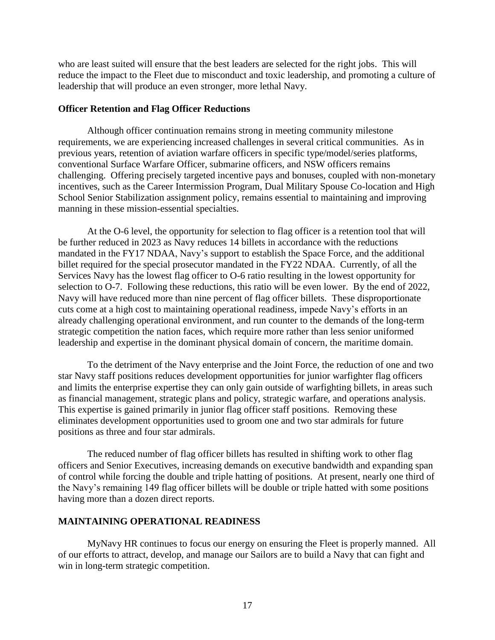who are least suited will ensure that the best leaders are selected for the right jobs. This will reduce the impact to the Fleet due to misconduct and toxic leadership, and promoting a culture of leadership that will produce an even stronger, more lethal Navy.

### **Officer Retention and Flag Officer Reductions**

Although officer continuation remains strong in meeting community milestone requirements, we are experiencing increased challenges in several critical communities. As in previous years, retention of aviation warfare officers in specific type/model/series platforms, conventional Surface Warfare Officer, submarine officers, and NSW officers remains challenging. Offering precisely targeted incentive pays and bonuses, coupled with non-monetary incentives, such as the Career Intermission Program, Dual Military Spouse Co-location and High School Senior Stabilization assignment policy, remains essential to maintaining and improving manning in these mission-essential specialties.

At the O-6 level, the opportunity for selection to flag officer is a retention tool that will be further reduced in 2023 as Navy reduces 14 billets in accordance with the reductions mandated in the FY17 NDAA, Navy's support to establish the Space Force, and the additional billet required for the special prosecutor mandated in the FY22 NDAA. Currently, of all the Services Navy has the lowest flag officer to O-6 ratio resulting in the lowest opportunity for selection to O-7. Following these reductions, this ratio will be even lower. By the end of 2022, Navy will have reduced more than nine percent of flag officer billets. These disproportionate cuts come at a high cost to maintaining operational readiness, impede Navy's efforts in an already challenging operational environment, and run counter to the demands of the long-term strategic competition the nation faces, which require more rather than less senior uniformed leadership and expertise in the dominant physical domain of concern, the maritime domain.

To the detriment of the Navy enterprise and the Joint Force, the reduction of one and two star Navy staff positions reduces development opportunities for junior warfighter flag officers and limits the enterprise expertise they can only gain outside of warfighting billets, in areas such as financial management, strategic plans and policy, strategic warfare, and operations analysis. This expertise is gained primarily in junior flag officer staff positions. Removing these eliminates development opportunities used to groom one and two star admirals for future positions as three and four star admirals.

The reduced number of flag officer billets has resulted in shifting work to other flag officers and Senior Executives, increasing demands on executive bandwidth and expanding span of control while forcing the double and triple hatting of positions. At present, nearly one third of the Navy's remaining 149 flag officer billets will be double or triple hatted with some positions having more than a dozen direct reports.

## **MAINTAINING OPERATIONAL READINESS**

MyNavy HR continues to focus our energy on ensuring the Fleet is properly manned. All of our efforts to attract, develop, and manage our Sailors are to build a Navy that can fight and win in long-term strategic competition.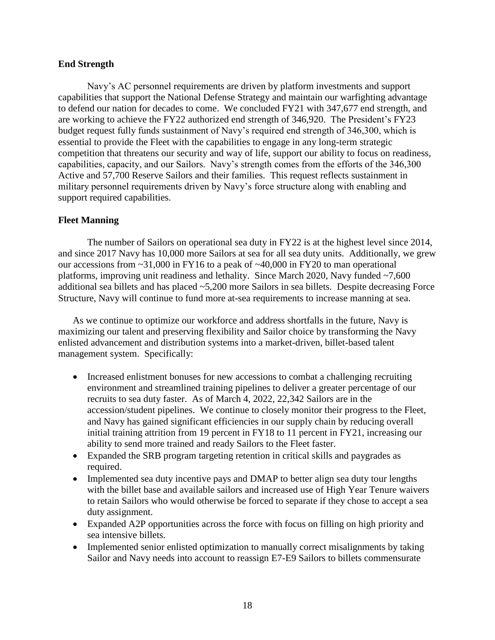# **End Strength**

Navy's AC personnel requirements are driven by platform investments and support capabilities that support the National Defense Strategy and maintain our warfighting advantage to defend our nation for decades to come. We concluded FY21 with 347,677 end strength, and are working to achieve the FY22 authorized end strength of 346,920. The President's FY23 budget request fully funds sustainment of Navy's required end strength of 346,300, which is essential to provide the Fleet with the capabilities to engage in any long-term strategic competition that threatens our security and way of life, support our ability to focus on readiness, capabilities, capacity, and our Sailors. Navy's strength comes from the efforts of the 346,300 Active and 57,700 Reserve Sailors and their families. This request reflects sustainment in military personnel requirements driven by Navy's force structure along with enabling and support required capabilities.

# **Fleet Manning**

The number of Sailors on operational sea duty in FY22 is at the highest level since 2014, and since 2017 Navy has 10,000 more Sailors at sea for all sea duty units. Additionally, we grew our accessions from ~31,000 in FY16 to a peak of ~40,000 in FY20 to man operational platforms, improving unit readiness and lethality. Since March 2020, Navy funded ~7,600 additional sea billets and has placed ~5,200 more Sailors in sea billets. Despite decreasing Force Structure, Navy will continue to fund more at-sea requirements to increase manning at sea.

As we continue to optimize our workforce and address shortfalls in the future, Navy is maximizing our talent and preserving flexibility and Sailor choice by transforming the Navy enlisted advancement and distribution systems into a market-driven, billet-based talent management system. Specifically:

- Increased enlistment bonuses for new accessions to combat a challenging recruiting environment and streamlined training pipelines to deliver a greater percentage of our recruits to sea duty faster. As of March 4, 2022, 22,342 Sailors are in the accession/student pipelines. We continue to closely monitor their progress to the Fleet, and Navy has gained significant efficiencies in our supply chain by reducing overall initial training attrition from 19 percent in FY18 to 11 percent in FY21, increasing our ability to send more trained and ready Sailors to the Fleet faster.
- Expanded the SRB program targeting retention in critical skills and paygrades as required.
- Implemented sea duty incentive pays and DMAP to better align sea duty tour lengths with the billet base and available sailors and increased use of High Year Tenure waivers to retain Sailors who would otherwise be forced to separate if they chose to accept a sea duty assignment.
- Expanded A2P opportunities across the force with focus on filling on high priority and sea intensive billets.
- Implemented senior enlisted optimization to manually correct misalignments by taking Sailor and Navy needs into account to reassign E7-E9 Sailors to billets commensurate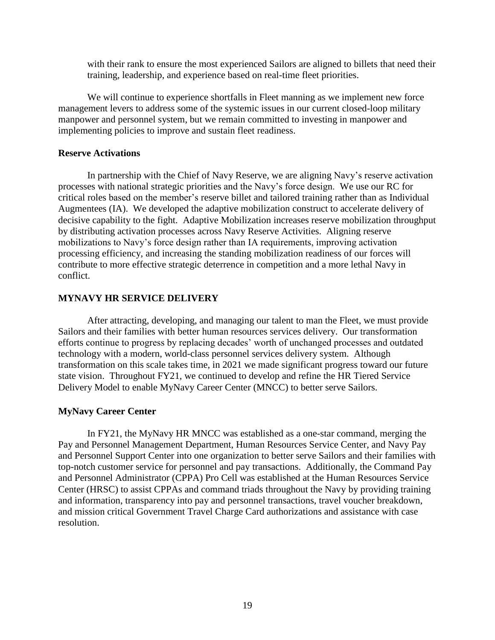with their rank to ensure the most experienced Sailors are aligned to billets that need their training, leadership, and experience based on real-time fleet priorities.

We will continue to experience shortfalls in Fleet manning as we implement new force management levers to address some of the systemic issues in our current closed-loop military manpower and personnel system, but we remain committed to investing in manpower and implementing policies to improve and sustain fleet readiness.

### **Reserve Activations**

In partnership with the Chief of Navy Reserve, we are aligning Navy's reserve activation processes with national strategic priorities and the Navy's force design. We use our RC for critical roles based on the member's reserve billet and tailored training rather than as Individual Augmentees (IA). We developed the adaptive mobilization construct to accelerate delivery of decisive capability to the fight. Adaptive Mobilization increases reserve mobilization throughput by distributing activation processes across Navy Reserve Activities. Aligning reserve mobilizations to Navy's force design rather than IA requirements, improving activation processing efficiency, and increasing the standing mobilization readiness of our forces will contribute to more effective strategic deterrence in competition and a more lethal Navy in conflict.

## **MYNAVY HR SERVICE DELIVERY**

After attracting, developing, and managing our talent to man the Fleet, we must provide Sailors and their families with better human resources services delivery. Our transformation efforts continue to progress by replacing decades' worth of unchanged processes and outdated technology with a modern, world-class personnel services delivery system. Although transformation on this scale takes time, in 2021 we made significant progress toward our future state vision. Throughout FY21, we continued to develop and refine the HR Tiered Service Delivery Model to enable MyNavy Career Center (MNCC) to better serve Sailors.

### **MyNavy Career Center**

In FY21, the MyNavy HR MNCC was established as a one-star command, merging the Pay and Personnel Management Department, Human Resources Service Center, and Navy Pay and Personnel Support Center into one organization to better serve Sailors and their families with top-notch customer service for personnel and pay transactions. Additionally, the Command Pay and Personnel Administrator (CPPA) Pro Cell was established at the Human Resources Service Center (HRSC) to assist CPPAs and command triads throughout the Navy by providing training and information, transparency into pay and personnel transactions, travel voucher breakdown, and mission critical Government Travel Charge Card authorizations and assistance with case resolution.